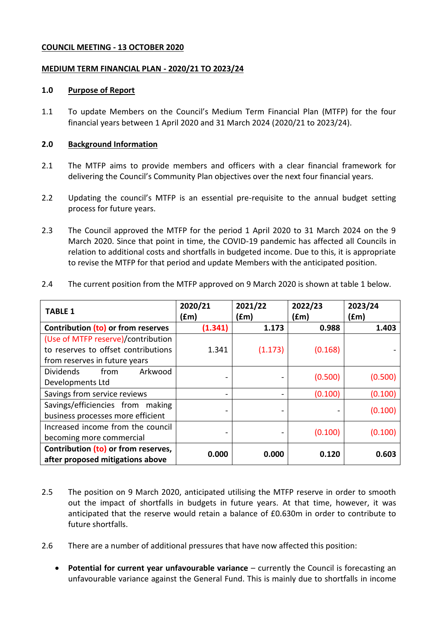#### **COUNCIL MEETING - 13 OCTOBER 2020**

#### <span id="page-0-1"></span><span id="page-0-0"></span>**MEDIUM TERM FINANCIAL PLAN - 2020/21 TO 2023/24**

#### **1.0 Purpose of Report**

1.1 To update Members on the Council's Medium Term Financial Plan (MTFP) for the four financial years between 1 April 2020 and 31 March 2024 [\(2020/21](#page-0-0) to [2023/24\)](#page-0-1).

#### **2.0 Background Information**

- 2.1 The MTFP aims to provide members and officers with a clear financial framework for delivering the Council's Community Plan objectives over the next four financial years.
- 2.2 Updating the council's MTFP is an essential pre-requisite to the annual budget setting process for future years.
- 2.3 The Council approved the MTFP for the period 1 April 2020 to 31 March 2024 on the 9 March 2020. Since that point in time, the COVID-19 pandemic has affected all Councils in relation to additional costs and shortfalls in budgeted income. Due to this, it is appropriate to revise the MTFP for that period and update Members with the anticipated position.

| <b>TABLE 1</b>                      | 2020/21<br>(£m) | 2021/22<br>(£m) | 2022/23<br>(£m) | 2023/24<br>(fm) |
|-------------------------------------|-----------------|-----------------|-----------------|-----------------|
| Contribution (to) or from reserves  | (1.341)         | 1.173           | 0.988           | 1.403           |
| (Use of MTFP reserve)/contribution  |                 |                 |                 |                 |
| to reserves to offset contributions | 1.341           | (1.173)         | (0.168)         |                 |
| from reserves in future years       |                 |                 |                 |                 |
| <b>Dividends</b><br>from<br>Arkwood |                 |                 | (0.500)         | (0.500)         |
| Developments Ltd                    |                 |                 |                 |                 |
| Savings from service reviews        |                 |                 | (0.100)         | (0.100)         |
| Savings/efficiencies from making    |                 |                 |                 |                 |
| business processes more efficient   |                 |                 |                 | (0.100)         |
| Increased income from the council   |                 |                 | (0.100)         | (0.100)         |
| becoming more commercial            |                 |                 |                 |                 |
| Contribution (to) or from reserves, | 0.000           | 0.000           | 0.120           | 0.603           |
| after proposed mitigations above    |                 |                 |                 |                 |

2.4 The current position from the MTFP approved on 9 March 2020 is shown at table 1 below.

- 2.5 The position on 9 March 2020, anticipated utilising the MTFP reserve in order to smooth out the impact of shortfalls in budgets in future years. At that time, however, it was anticipated that the reserve would retain a balance of £0.630m in order to contribute to future shortfalls.
- 2.6 There are a number of additional pressures that have now affected this position:
	- **Potential for current year unfavourable variance** currently the Council is forecasting an unfavourable variance against the General Fund. This is mainly due to shortfalls in income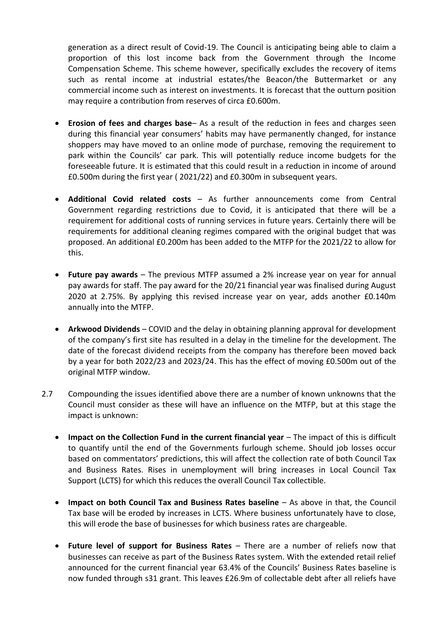generation as a direct result of Covid-19. The Council is anticipating being able to claim a proportion of this lost income back from the Government through the Income Compensation Scheme. This scheme however, specifically excludes the recovery of items such as rental income at industrial estates/the Beacon/the Buttermarket or any commercial income such as interest on investments. It is forecast that the outturn position may require a contribution from reserves of circa £0.600m.

- **Erosion of fees and charges base** As a result of the reduction in fees and charges seen during this financial year consumers' habits may have permanently changed, for instance shoppers may have moved to an online mode of purchase, removing the requirement to park within the Councils' car park. This will potentially reduce income budgets for the foreseeable future. It is estimated that this could result in a reduction in income of around £0.500m during the first year ( 2021/22) and £0.300m in subsequent years.
- **Additional Covid related costs** As further announcements come from Central Government regarding restrictions due to Covid, it is anticipated that there will be a requirement for additional costs of running services in future years. Certainly there will be requirements for additional cleaning regimes compared with the original budget that was proposed. An additional £0.200m has been added to the MTFP for the 2021/22 to allow for this.
- **Future pay awards** The previous MTFP assumed a 2% increase year on year for annual pay awards for staff. The pay award for the 20/21 financial year was finalised during August 2020 at 2.75%. By applying this revised increase year on year, adds another £0.140m annually into the MTFP.
- **Arkwood Dividends** COVID and the delay in obtaining planning approval for development of the company's first site has resulted in a delay in the timeline for the development. The date of the forecast dividend receipts from the company has therefore been moved back by a year for both 2022/23 and 2023/24. This has the effect of moving £0.500m out of the original MTFP window.
- 2.7 Compounding the issues identified above there are a number of known unknowns that the Council must consider as these will have an influence on the MTFP, but at this stage the impact is unknown:
	- **Impact on the Collection Fund in the current financial year** The impact of this is difficult to quantify until the end of the Governments furlough scheme. Should job losses occur based on commentators' predictions, this will affect the collection rate of both Council Tax and Business Rates. Rises in unemployment will bring increases in Local Council Tax Support (LCTS) for which this reduces the overall Council Tax collectible.
	- **Impact on both Council Tax and Business Rates baseline** As above in that, the Council Tax base will be eroded by increases in LCTS. Where business unfortunately have to close, this will erode the base of businesses for which business rates are chargeable.
	- **Future level of support for Business Rates** There are a number of reliefs now that businesses can receive as part of the Business Rates system. With the extended retail relief announced for the current financial year 63.4% of the Councils' Business Rates baseline is now funded through s31 grant. This leaves £26.9m of collectable debt after all reliefs have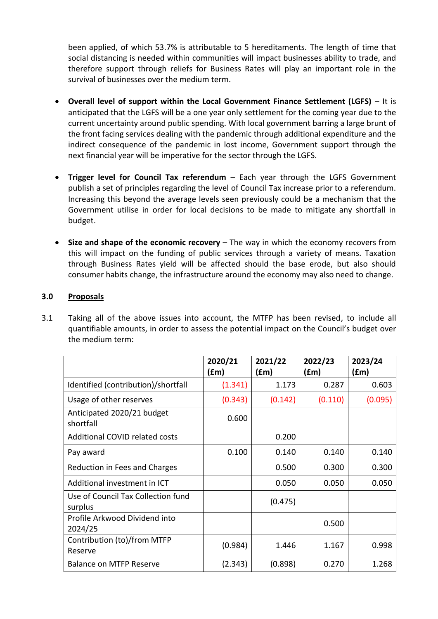been applied, of which 53.7% is attributable to 5 hereditaments. The length of time that social distancing is needed within communities will impact businesses ability to trade, and therefore support through reliefs for Business Rates will play an important role in the survival of businesses over the medium term.

- **Overall level of support within the Local Government Finance Settlement (LGFS)** It is anticipated that the LGFS will be a one year only settlement for the coming year due to the current uncertainty around public spending. With local government barring a large brunt of the front facing services dealing with the pandemic through additional expenditure and the indirect consequence of the pandemic in lost income, Government support through the next financial year will be imperative for the sector through the LGFS.
- **Trigger level for Council Tax referendum** Each year through the LGFS Government publish a set of principles regarding the level of Council Tax increase prior to a referendum. Increasing this beyond the average levels seen previously could be a mechanism that the Government utilise in order for local decisions to be made to mitigate any shortfall in budget.
- **Size and shape of the economic recovery** The way in which the economy recovers from this will impact on the funding of public services through a variety of means. Taxation through Business Rates yield will be affected should the base erode, but also should consumer habits change, the infrastructure around the economy may also need to change.

# **3.0 Proposals**

3.1 Taking all of the above issues into account, the MTFP has been revised, to include all quantifiable amounts, in order to assess the potential impact on the Council's budget over the medium term:

|                                               | 2020/21 | 2021/22 | 2022/23 | 2023/24 |
|-----------------------------------------------|---------|---------|---------|---------|
|                                               | (£m)    | f(m)    | (£m)    | (fm)    |
| Identified (contribution)/shortfall           | (1.341) | 1.173   | 0.287   | 0.603   |
| Usage of other reserves                       | (0.343) | (0.142) | (0.110) | (0.095) |
| Anticipated 2020/21 budget<br>shortfall       | 0.600   |         |         |         |
| <b>Additional COVID related costs</b>         |         | 0.200   |         |         |
| Pay award                                     | 0.100   | 0.140   | 0.140   | 0.140   |
| Reduction in Fees and Charges                 |         | 0.500   | 0.300   | 0.300   |
| Additional investment in ICT                  |         | 0.050   | 0.050   | 0.050   |
| Use of Council Tax Collection fund<br>surplus |         | (0.475) |         |         |
| Profile Arkwood Dividend into<br>2024/25      |         |         | 0.500   |         |
| Contribution (to)/from MTFP<br>Reserve        | (0.984) | 1.446   | 1.167   | 0.998   |
| <b>Balance on MTFP Reserve</b>                | (2.343) | (0.898) | 0.270   | 1.268   |